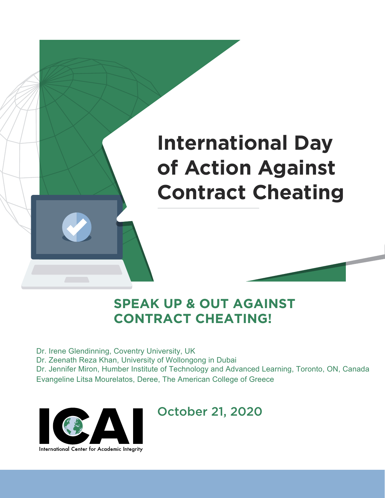## **International Day of Action Against Contract Cheating**

### **SPEAK UP & OUT AGAINST CONTRACT CHEATING!**

Dr. Irene Glendinning, Coventry University, UK

Dr. Zeenath Reza Khan, University of Wollongong in Dubai

Dr. Jennifer Miron, Humber Institute of Technology and Advanced Learning, Toronto, ON, Canada Evangeline Litsa Mourelatos, Deree, The American College of Greece



### October 21, 2020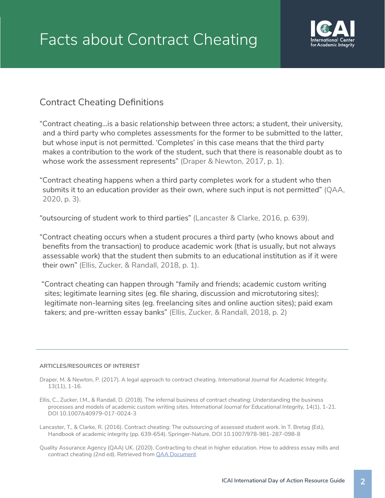

### Contract Cheating Definitions

"Contract cheating…is a basic relationship between three actors; a student, their university, and a third party who completes assessments for the former to be submitted to the latter, but whose input is not permitted. 'Completes' in this case means that the third party makes a contribution to the work of the student, such that there is reasonable doubt as to whose work the assessment represents" (Draper & Newton, 2017, p. 1).

"Contract cheating happens when a third party completes work for a student who then submits it to an education provider as their own, where such input is not permitted" (QAA, 2020, p. 3).

"outsourcing of student work to third parties" (Lancaster & Clarke, 2016, p. 639).

"Contract cheating occurs when a student procures a third party (who knows about and benefits from the transaction) to produce academic work (that is usually, but not always assessable work) that the student then submits to an educational institution as if it were their own" (Ellis, Zucker, & Randall, 2018, p. 1).

 "Contract cheating can happen through "family and friends; academic custom writing sites; legitimate learning sites (eg. file sharing, discussion and microtutoring sites); legitimate non-learning sites (eg. freelancing sites and online auction sites); paid exam takers; and pre-written essay banks" (Ellis, Zucker, & Randall, 2018, p. 2)

### **ARTICLES/RESOURCES OF INTEREST**

- Draper, M. & Newton, P. (2017). A legal approach to contract cheating. *International Journal for Academic Integrity,*  13(11), 1-16.
- Ellis, C., Zucker, I.M., & Randall, D. (2018). The infernal business of contract cheating: Understanding the business processes and models of academic custom writing sites. *International Journal for Educational Integrity,* 14(1), 1-21. DOI 10.1007/s40979-017-0024-3
- Lancaster, T., & Clarke, R. (2016). Contract cheating: The outsourcing of assessed student work. In T. Bretag (Ed.), Handbook of academic integrity (pp. 639-654). Springer-Nature. DOI 10.1007/978-981-287-098-8
- Quality Assurance Agency (QAA) UK. (2020). Contracting to cheat in higher education. How to address essay mills and contract cheating (2nd ed). Retrieved from QAA Document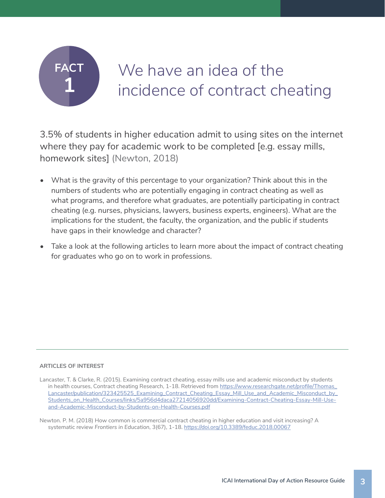

## We have an idea of the incidence of contract cheating

3.5% of students in higher education admit to using sites on the internet where they pay for academic work to be completed [e.g. essay mills, homework sites] (Newton, 2018)

- What is the gravity of this percentage to your organization? Think about this in the numbers of students who are potentially engaging in contract cheating as well as what programs, and therefore what graduates, are potentially participating in contract cheating (e.g. nurses, physicians, lawyers, business experts, engineers). What are the implications for the student, the faculty, the organization, and the public if students have gaps in their knowledge and character?
- Take a look at the following articles to learn more about the impact of contract cheating for graduates who go on to work in professions.

### **ARTICLES OF INTEREST**

Lancaster, T. & Clarke, R. (2015). Examining contract cheating, essay mills use and academic misconduct by students in health courses, Contract cheating Research, 1-18. Retrieved from https://www.researchgate.net/profile/Thomas\_ Lancaster/publication/323425525\_Examining\_Contract\_Cheating\_Essay\_Mill\_Use\_and\_Academic\_Misconduct\_by\_ Students\_on\_Health\_Courses/links/5a956d4daca27214056920dd/Examining-Contract-Cheating-Essay-Mill-Useand-Academic-Misconduct-by-Students-on-Health-Courses.pdf

Newton. P. M. (2018) How common is commercial contract cheating in higher education and visit increasing? A systematic review *Frontiers in Education,* 3(67), 1-18. https://doi.org/10.3389/feduc.2018.00067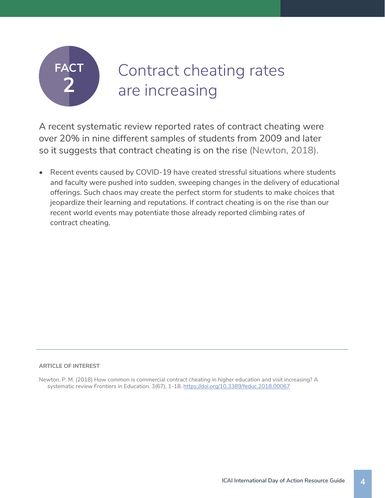## Contract cheating rates are increasing

A recent systematic review reported rates of contract cheating were over 20% in nine different samples of students from 2009 and later so it suggests that contract cheating is on the rise (Newton, 2018).

• Recent events caused by COVID-19 have created stressful situations where students and faculty were pushed into sudden, sweeping changes in the delivery of educational offerings. Such chaos may create the perfect storm for students to make choices that jeopardize their learning and reputations. If contract cheating is on the rise than our recent world events may potentiate those already reported climbing rates of contract cheating.

#### **ARTICLE OF INTEREST**

Newton. P. M. (2018) How common is commercial contract cheating in higher education and visit increasing? A systematic review *Frontiers in Education,* 3(67), 1-18. https://doi.org/10.3389/feduc.2018.00067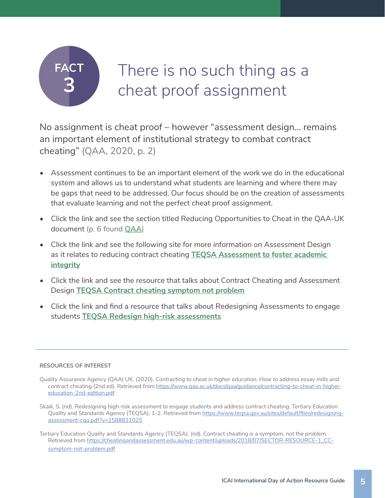## There is no such thing as a cheat proof assignment

No assignment is cheat proof – however "assessment design… remains an important element of institutional strategy to combat contract cheating" (QAA, 2020, p. 2)

- Assessment continues to be an important element of the work we do in the educational system and allows us to understand what students are learning and where there may be gaps that need to be addressed. Our focus should be on the creation of assessments that evaluate learning and not the perfect cheat proof assignment.
- Click the link and see the section titled Reducing Opportunities to Cheat in the QAA-UK document (p. 6 found **QAA**)
- Click the link and see the following site for more information on Assessment Design as it relates to reducing contract cheating **TEQSA Assessment to foster academic integrity**
- Click the link and see the resource that talks about Contract Cheating and Assessment Design **TEQSA Contract cheating symptom not problem**
- Click the link and find a resource that talks about Redesigning Assessments to engage students **TEQSA Redesign high-risk assessments**

- Quality Assurance Agency (QAA) UK. (2020). *Contracting to cheat in higher education. How to address essay mills and contract cheating* (2nd ed). Retrieved from https://www.qaa.ac.uk/docs/qaa/guidance/contracting-to-cheat-in-highereducation-2nd-edition.pdf
- Skaik, S. (nd). Redesigning high-risk assessment to engage students and address contract cheating. *Tertiary Education Quality and Standards Agency* (TEQSA), 1-2. Retrieved from https://www.teqsa.gov.au/sites/default/files/redesigningassessment-cqu.pdf?v=1588831025

Tertiary Education Quality and Standards Agency (TEQSA). (nd). Contract cheating is a symptom, not the problem. Retrieved from https://cheatingandassessment.edu.au/wp-content/uploads/2018/07/SECTOR-RESOURCE-1\_CCsymptom-not-problem.pdf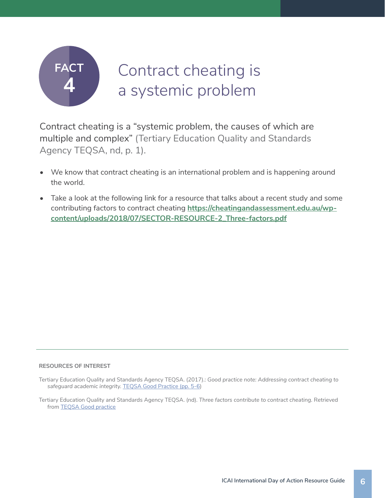

## Contract cheating is a systemic problem

Contract cheating is a "systemic problem, the causes of which are multiple and complex" (Tertiary Education Quality and Standards Agency TEQSA, nd, p. 1).

- We know that contract cheating is an international problem and is happening around the world.
- Take a look at the following link for a resource that talks about a recent study and some contributing factors to contract cheating **https://cheatingandassessment.edu.au/wpcontent/uploads/2018/07/SECTOR-RESOURCE-2\_Three-factors.pdf**

- Tertiary Education Quality and Standards Agency TEQSA. (2017).: *Good practice note: Addressing contract cheating to safeguard academic integrity.* TEQSA Good Practice (pp. 5-6)
- Tertiary Education Quality and Standards Agency TEQSA. (nd). *Three factors contribute to contract cheating.* Retrieved from **TEOSA** Good practice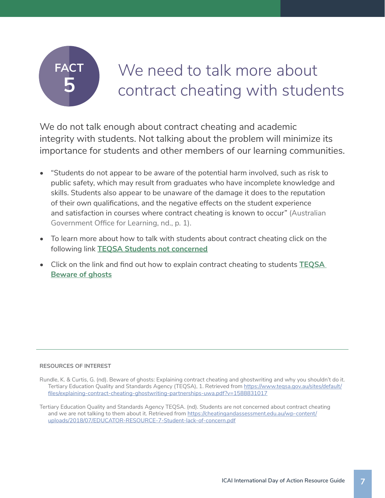## We need to talk more about contract cheating with students

We do not talk enough about contract cheating and academic integrity with students. Not talking about the problem will minimize its importance for students and other members of our learning communities.

- "Students do not appear to be aware of the potential harm involved, such as risk to public safety, which may result from graduates who have incomplete knowledge and skills. Students also appear to be unaware of the damage it does to the reputation of their own qualifications, and the negative effects on the student experience and satisfaction in courses where contract cheating is known to occur" (Australian Government Office for Learning, nd., p. 1).
- To learn more about how to talk with students about contract cheating click on the following link **TEQSA Students not concerned**
- Click on the link and find out how to explain contract cheating to students **TEQSA Beware of ghosts**

- Rundle, K. & Curtis, G. (nd). Beware of ghosts: Explaining contract cheating and ghostwriting and why you shouldn't do it. Tertiary Education Quality and Standards Agency (TEQSA), 1. Retrieved from https://www.teqsa.gov.au/sites/default/ files/explaining-contract-cheating-ghostwriting-partnerships-uwa.pdf?v=1588831017
- Tertiary Education Quality and Standards Agency TEQSA. (nd). Students are not concerned about contract cheating and we are not talking to them about it. Retrieved from https://cheatingandassessment.edu.au/wp-content/ uploads/2018/07/EDUCATOR-RESOURCE-7-Student-lack-of-concern.pdf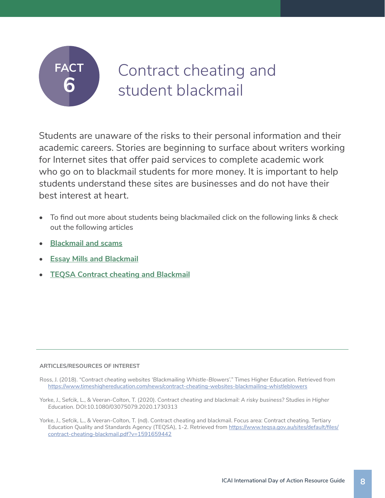## Contract cheating and student blackmail

Students are unaware of the risks to their personal information and their academic careers. Stories are beginning to surface about writers working for Internet sites that offer paid services to complete academic work who go on to blackmail students for more money. It is important to help students understand these sites are businesses and do not have their best interest at heart.

- To find out more about students being blackmailed click on the following links & check out the following articles
- **• Blackmail and scams**
- **• Essay Mills and Blackmail**
- **• TEQSA Contract cheating and Blackmail**

### **ARTICLES/RESOURCES OF INTEREST**

- Ross, J. (2018). *"Contract cheating websites 'Blackmailing Whistle-Blowers'."* Times Higher Education. Retrieved from https://www.timeshighereducation.com/news/contract-cheating-websites-blackmailing-whistleblowers
- Yorke, J., Sefcik, L., & Veeran-Colton, T. (2020). *Contract cheating and blackmail: A risky business? Studies in Higher Education.* DOI:10.1080/03075079.2020.1730313
- Yorke, J., Sefcik, L., & Veeran-Colton, T. (nd). Contract cheating and blackmail. Focus area: Contract cheating. Tertiary Education Quality and Standards Agency (TEQSA), 1-2. Retrieved from https://www.teqsa.gov.au/sites/default/files/ contract-cheating-blackmail.pdf?v=1591659442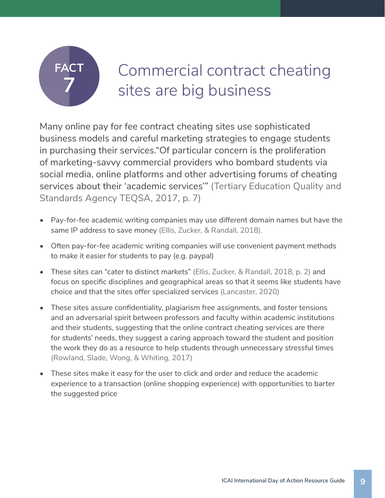## Commercial contract cheating sites are big business

Many online pay for fee contract cheating sites use sophisticated business models and careful marketing strategies to engage students in purchasing their services."Of particular concern is the proliferation of marketing-savvy commercial providers who bombard students via social media, online platforms and other advertising forums of cheating services about their 'academic services'" (Tertiary Education Quality and Standards Agency TEQSA, 2017, p. 7)

- Pay-for-fee academic writing companies may use different domain names but have the same IP address to save money (Ellis, Zucker, & Randall, 2018).
- Often pay-for-fee academic writing companies will use convenient payment methods to make it easier for students to pay (e.g. paypal)
- These sites can "cater to distinct markets" (Ellis, Zucker, & Randall, 2018, p. 2) and focus on specific disciplines and geographical areas so that it seems like students have choice and that the sites offer specialized services (Lancaster, 2020)
- These sites assure confidentiality, plagiarism free assignments, and foster tensions and an adversarial spirit between professors and faculty within academic institutions and their students, suggesting that the online contract cheating services are there for students' needs, they suggest a caring approach toward the student and position the work they do as a resource to help students through unnecessary stressful times (Rowland, Slade, Wong, & Whiting, 2017)
- These sites make it easy for the user to click and order and reduce the academic experience to a transaction (online shopping experience) with opportunities to barter the suggested price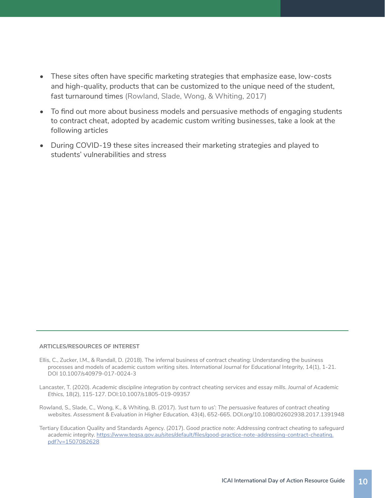- These sites often have specific marketing strategies that emphasize ease, low-costs and high-quality, products that can be customized to the unique need of the student, fast turnaround times (Rowland, Slade, Wong, & Whiting, 2017)
- To find out more about business models and persuasive methods of engaging students to contract cheat, adopted by academic custom writing businesses, take a look at the following articles
- During COVID-19 these sites increased their marketing strategies and played to students' vulnerabilities and stress

#### **ARTICLES/RESOURCES OF INTEREST**

- Ellis, C., Zucker, I.M., & Randall, D. (2018). The infernal business of contract cheating: Understanding the business processes and models of academic custom writing sites. *International Journal for Educational Integrity,* 14(1), 1-21. DOI 10.1007/s40979-017-0024-3
- Lancaster, T. (2020). *Academic discipline integration by contract cheating services and essay mills. Journal of Academic Ethics,* 18(2), 115-127. DOI:10.1007/s1805-019-09357
- Rowland, S., Slade, C., Wong, K., & Whiting, B. (2017). *'Just turn to us': The persuasive features of contract cheating websites. Assessment & Evaluation in Higher Education,* 43(4), 652-665. DOI.org/10.1080/02602938.2017.1391948
- Tertiary Education Quality and Standards Agency. (2017). *Good practice note: Addressing contract cheating to safeguard academic integrity.* https://www.teqsa.gov.au/sites/default/files/good-practice-note-addressing-contract-cheating. pdf?v=1507082628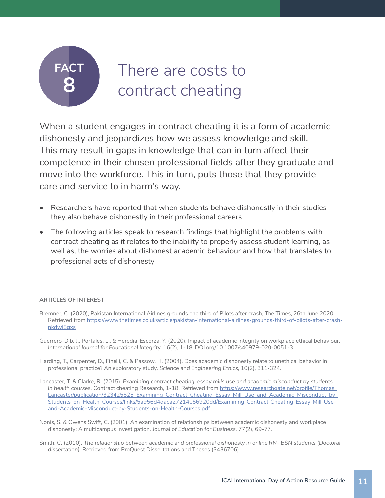## There are costs to contract cheating

When a student engages in contract cheating it is a form of academic dishonesty and jeopardizes how we assess knowledge and skill. This may result in gaps in knowledge that can in turn affect their competence in their chosen professional fields after they graduate and move into the workforce. This in turn, puts those that they provide care and service to in harm's way.

- Researchers have reported that when students behave dishonestly in their studies they also behave dishonestly in their professional careers
- The following articles speak to research findings that highlight the problems with contract cheating as it relates to the inability to properly assess student learning, as well as, the worries about dishonest academic behaviour and how that translates to professional acts of dishonesty

### **ARTICLES OF INTEREST**

- Bremner, C. (2020), Pakistan International Airlines grounds one third of Pilots after crash, The Times, 26th June 2020. Retrieved from https://www.thetimes.co.uk/article/pakistan-international-airlines-grounds-third-of-pilots-after-crashnkdwj8gxs
- Guerrero-Dib, J., Portales, L., & Heredia-Escorza, Y. (2020). Impact of academic integrity on workplace ethical behaviour. *International Journal for Educational Integrity,* 16(2), 1-18. DOI.org/10.1007/s40979-020-0051-3
- Harding, T., Carpenter, D., Finelli, C. & Passow, H. (2004). Does academic dishonesty relate to unethical behavior in professional practice? An exploratory study. *Science and Engineering Ethics,* 10(2), 311-324.
- Lancaster, T. & Clarke, R. (2015). *Examining contract cheating, essay mills use and academic misconduct by students*  in health courses, Contract cheating Research, 1-18. Retrieved from https://www.researchgate.net/profile/Thomas\_ Lancaster/publication/323425525\_Examining\_Contract\_Cheating\_Essay\_Mill\_Use\_and\_Academic\_Misconduct\_by\_ Students\_on\_Health\_Courses/links/5a956d4daca27214056920dd/Examining-Contract-Cheating-Essay-Mill-Useand-Academic-Misconduct-by-Students-on-Health-Courses.pdf
- Nonis, S. & Owens Swift, C. (2001). An examination of relationships between academic dishonesty and workplace dishonesty: A multicampus investigation. *Journal of Education for Business,* 77(2), 69-77.
- Smith, C. (2010). *The relationship between academic and professional dishonesty in online RN- BSN students (Doctoral dissertation).* Retrieved from ProQuest Dissertations and Theses (3436706).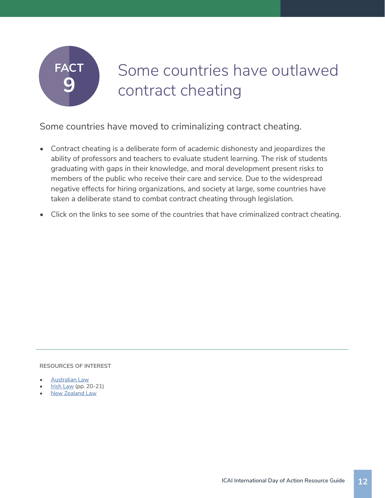## Some countries have outlawed contract cheating

Some countries have moved to criminalizing contract cheating.

- Contract cheating is a deliberate form of academic dishonesty and jeopardizes the ability of professors and teachers to evaluate student learning. The risk of students graduating with gaps in their knowledge, and moral development present risks to members of the public who receive their care and service. Due to the widespread negative effects for hiring organizations, and society at large, some countries have taken a deliberate stand to combat contract cheating through legislation.
- Click on the links to see some of the countries that have criminalized contract cheating.

- Australian Law
- **Irish Law (pp. 20-21)**
- **New Zealand Law**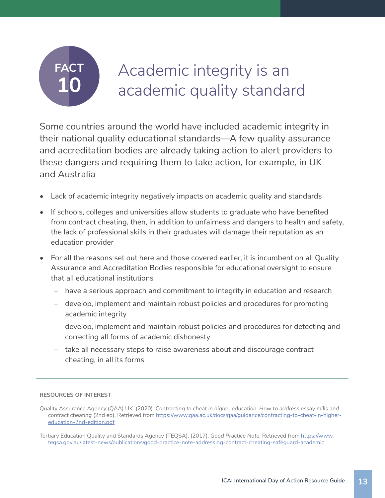## Academic integrity is an academic quality standard

Some countries around the world have included academic integrity in their national quality educational standards—A few quality assurance and accreditation bodies are already taking action to alert providers to these dangers and requiring them to take action, for example, in UK and Australia

- Lack of academic integrity negatively impacts on academic quality and standards
- If schools, colleges and universities allow students to graduate who have benefited from contract cheating, then, in addition to unfairness and dangers to health and safety, the lack of professional skills in their graduates will damage their reputation as an education provider
- For all the reasons set out here and those covered earlier, it is incumbent on all Quality Assurance and Accreditation Bodies responsible for educational oversight to ensure that all educational institutions
	- ‒ have a serious approach and commitment to integrity in education and research
	- ‒ develop, implement and maintain robust policies and procedures for promoting academic integrity
	- ‒ develop, implement and maintain robust policies and procedures for detecting and correcting all forms of academic dishonesty
	- ‒ take all necessary steps to raise awareness about and discourage contract cheating, in all its forms

Quality Assurance Agency (QAA) UK. (2020). *Contracting to cheat in higher education. How to address essay mills and contract cheating* (2nd ed). Retrieved from https://www.qaa.ac.uk/docs/qaa/guidance/contracting-to-cheat-in-highereducation-2nd-edition.pdf

Tertiary Education Quality and Standards Agency (TEQSA). (2017). *Good Practice Note.* Retrieved from https://www. teqsa.gov.au/latest-news/publications/good-practice-note-addressing-contract-cheating-safeguard-academic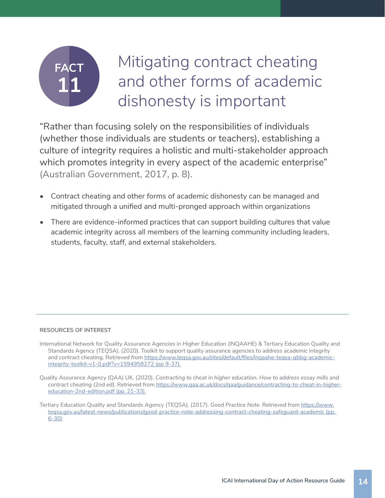## Mitigating contract cheating and other forms of academic dishonesty is important

"Rather than focusing solely on the responsibilities of individuals (whether those individuals are students or teachers), establishing a culture of integrity requires a holistic and multi-stakeholder approach which promotes integrity in every aspect of the academic enterprise" (Australian Government, 2017, p. 8).

- Contract cheating and other forms of academic dishonesty can be managed and mitigated through a unified and multi-pronged approach within organizations
- There are evidence-informed practices that can support building cultures that value academic integrity across all members of the learning community including leaders, students, faculty, staff, and external stakeholders.

- International Network for Quality Assurance Agencies in Higher Education (INQAAHE) & Tertiary Education Quality and Standards Agency (TEQSA). (2020). Toolkit to support quality assurance agencies to address academic integrity and contract cheating. Retrieved from https://www.teqsa.gov.au/sites/default/files/inqaahe-teqsa-qbbg-academicintegrity-toolkit-v1-0.pdf?v=1594958272 (pp 9-37).
- Quality Assurance Agency (QAA) UK. (2020). *Contracting to cheat in higher education. How to address essay mills and contract cheating* (2nd ed). Retrieved from https://www.qaa.ac.uk/docs/qaa/guidance/contracting-to-cheat-in-highereducation-2nd-edition.pdf (pp. 21-33).
- Tertiary Education Quality and Standards Agency (TEQSA). (2017). *Good Practice Note.* Retrieved from https://www. teqsa.gov.au/latest-news/publications/good-practice-note-addressing-contract-cheating-safeguard-academic (pp. 6-30)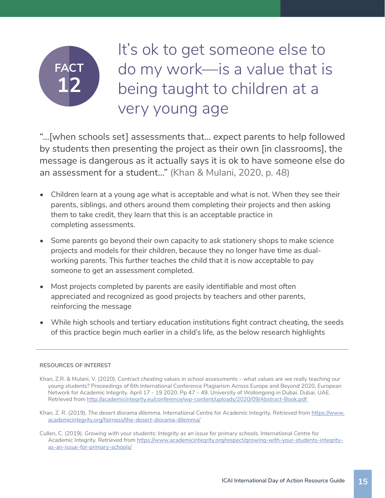## It's ok to get someone else to do my work—is a value that is being taught to children at a very young age

"…[when schools set] assessments that… expect parents to help followed by students then presenting the project as their own [in classrooms], the message is dangerous as it actually says it is ok to have someone else do an assessment for a student…" (Khan & Mulani, 2020, p. 48)

- Children learn at a young age what is acceptable and what is not. When they see their parents, siblings, and others around them completing their projects and then asking them to take credit, they learn that this is an acceptable practice in completing assessments.
- Some parents go beyond their own capacity to ask stationery shops to make science projects and models for their children, because they no longer have time as dualworking parents. This further teaches the child that it is now acceptable to pay someone to get an assessment completed.
- Most projects completed by parents are easily identifiable and most often appreciated and recognized as good projects by teachers and other parents, reinforcing the message
- While high schools and tertiary education institutions fight contract cheating, the seeds of this practice begin much earlier in a child's life, as the below research highlights

- Khan, Z.R. & Mulani, V. (2020). *Contract cheating values in school assessments what values are we really teaching our young students?* Proceedings of 6th International Conference Plagiarism Across Europe and Beyond 2020, European Network for Academic Integrity. April 17 - 19 2020. Pp 47 – 49. University of Wollongong in Dubai. Dubai. UAE. Retrieved from http://academicintegrity.eu/conference/wp-content/uploads/2020/09/Abstract-Book.pdf
- Khan, Z. R. (2019). *The desert diorama dilemma.* International Centre for Academic Integrity. Retrieved from https://www. academicintegrity.org/fairness/the-desert-diorama-dilemma/
- Cullen, C. (2019). *Growing with your students: Integrity as an issue for primary schools.* International Centre for Academic Integrity. Retrieved from https://www.academicintegrity.org/respect/growing-with-your-students-integrityas-an-issue-for-primary-schools/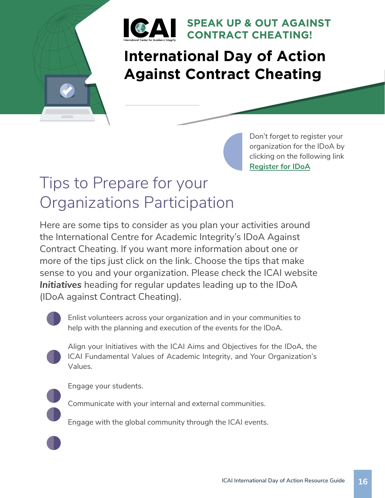

### **SPEAK UP & OUT AGAINST CONTRACT CHEATING!**

### **International Day of Action Against Contract Cheating**

Don't forget to register your organization for the IDoA by clicking on the following link **Register for IDoA**

## Tips to Prepare for your Organizations Participation

Here are some tips to consider as you plan your activities around the International Centre for Academic Integrity's IDoA Against Contract Cheating. If you want more information about one or more of the tips just click on the link. Choose the tips that make sense to you and your organization. Please check the ICAI website *Initiatives* heading for regular updates leading up to the IDoA (IDoA against Contract Cheating).



Enlist volunteers across your organization and in your communities to help with the planning and execution of the events for the IDoA.



Align your Initiatives with the ICAI Aims and Objectives for the IDoA, the ICAI Fundamental Values of Academic Integrity, and Your Organization's Values.



Engage your students.

Communicate with your internal and external communities.

Engage with the global community through the ICAI events.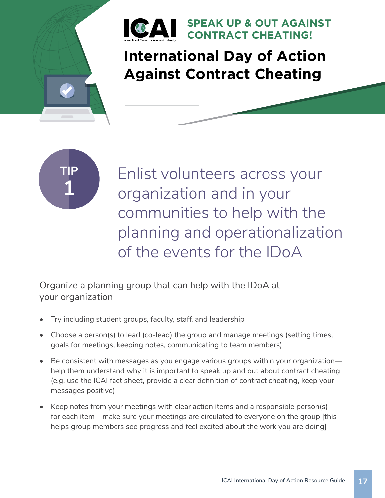

### **International Day of Action Against Contract Cheating**

**SPEAK UP & OUT AGAINST** 

**CONTRACT CHEATING!**



Enlist volunteers across your organization and in your communities to help with the planning and operationalization of the events for the IDoA

Organize a planning group that can help with the IDoA at your organization

- Try including student groups, faculty, staff, and leadership
- Choose a person(s) to lead (co-lead) the group and manage meetings (setting times, goals for meetings, keeping notes, communicating to team members)
- Be consistent with messages as you engage various groups within your organization help them understand why it is important to speak up and out about contract cheating (e.g. use the ICAI fact sheet, provide a clear definition of contract cheating, keep your messages positive)
- Keep notes from your meetings with clear action items and a responsible person(s) for each item – make sure your meetings are circulated to everyone on the group [this helps group members see progress and feel excited about the work you are doing]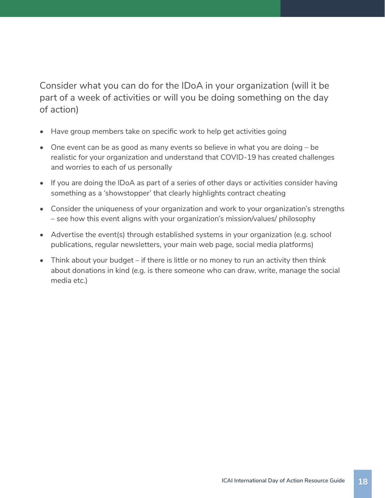Consider what you can do for the IDoA in your organization (will it be part of a week of activities or will you be doing something on the day of action)

- Have group members take on specific work to help get activities going
- One event can be as good as many events so believe in what you are doing be realistic for your organization and understand that COVID-19 has created challenges and worries to each of us personally
- If you are doing the IDoA as part of a series of other days or activities consider having something as a 'showstopper' that clearly highlights contract cheating
- Consider the uniqueness of your organization and work to your organization's strengths – see how this event aligns with your organization's mission/values/ philosophy
- Advertise the event(s) through established systems in your organization (e.g. school publications, regular newsletters, your main web page, social media platforms)
- Think about your budget if there is little or no money to run an activity then think about donations in kind (e.g. is there someone who can draw, write, manage the social media etc.)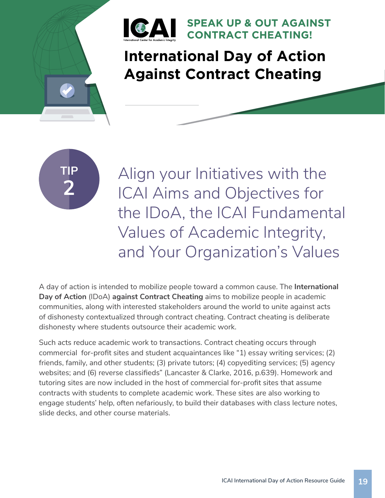

## **International Day of Action Against Contract Cheating**

**SPEAK UP & OUT AGAINST** 

**CONTRACT CHEATING!**



Align your Initiatives with the ICAI Aims and Objectives for the IDoA, the ICAI Fundamental Values of Academic Integrity, and Your Organization's Values

A day of action is intended to mobilize people toward a common cause. The **International Day of Action** (IDoA) **against Contract Cheating** aims to mobilize people in academic communities, along with interested stakeholders around the world to unite against acts of dishonesty contextualized through contract cheating. Contract cheating is deliberate dishonesty where students outsource their academic work.

Such acts reduce academic work to transactions. Contract cheating occurs through commercial for-profit sites and student acquaintances like "1) essay writing services; (2) friends, family, and other students; (3) private tutors; (4) copyediting services; (5) agency websites; and (6) reverse classifieds" (Lancaster & Clarke, 2016, p.639). Homework and tutoring sites are now included in the host of commercial for-profit sites that assume contracts with students to complete academic work. These sites are also working to engage students' help, often nefariously, to build their databases with class lecture notes, slide decks, and other course materials.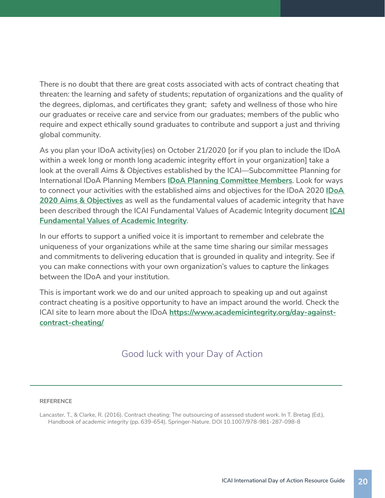There is no doubt that there are great costs associated with acts of contract cheating that threaten: the learning and safety of students; reputation of organizations and the quality of the degrees, diplomas, and certificates they grant; safety and wellness of those who hire our graduates or receive care and service from our graduates; members of the public who require and expect ethically sound graduates to contribute and support a just and thriving global community.

As you plan your IDoA activity(ies) on October 21/2020 [or if you plan to include the IDoA within a week long or month long academic integrity effort in your organization] take a look at the overall *Aims & Objectives* established by the ICAI—Subcommittee Planning for International IDoA Planning Members **IDoA Planning Committee Members**. Look for ways to connect your activities with the established aims and objectives for the IDoA 2020 **IDoA 2020 Aims & Objectives** as well as the fundamental values of academic integrity that have been described through the ICAI Fundamental Values of Academic Integrity document **ICAI Fundamental Values of Academic Integrity**.

In our efforts to support a unified voice it is important to remember and celebrate the uniqueness of your organizations while at the same time sharing our similar messages and commitments to delivering education that is grounded in quality and integrity. See if you can make connections with your own organization's values to capture the linkages between the IDoA and your institution.

This is important work we do and our united approach to speaking up and out against contract cheating is a positive opportunity to have an impact around the world. Check the ICAI site to learn more about the IDoA **https://www.academicintegrity.org/day-againstcontract-cheating/**

### Good luck with your Day of Action

#### **REFERENCE**

Lancaster, T., & Clarke, R. (2016). Contract cheating: The outsourcing of assessed student work. In T. Bretag (Ed.), *Handbook of academic integrity* (pp. 639-654). Springer-Nature. DOI 10.1007/978-981-287-098-8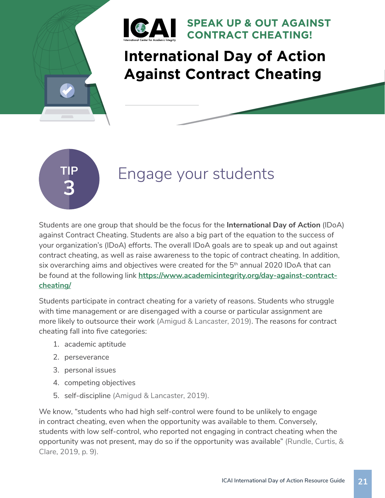

## **International Day of Action Against Contract Cheating**

**3**

### **Engage your students**

Students are one group that should be the focus for the **International Day of Action** (IDoA) against Contract Cheating. Students are also a big part of the equation to the success of your organization's (IDoA) efforts. The overall IDoA goals are to speak up and out against contract cheating, as well as raise awareness to the topic of contract cheating. In addition, six overarching aims and objectives were created for the 5<sup>th</sup> annual 2020 IDoA that can be found at the following link **https://www.academicintegrity.org/day-against-contractcheating/**

Students participate in contract cheating for a variety of reasons. Students who struggle with time management or are disengaged with a course or particular assignment are more likely to outsource their work (Amigud & Lancaster, 2019). The reasons for contract cheating fall into five categories:

- 1. academic aptitude
- 2. perseverance
- 3. personal issues
- 4. competing objectives
- 5. self-discipline (Amigud & Lancaster, 2019).

We know, "students who had high self-control were found to be unlikely to engage in contract cheating, even when the opportunity was available to them. Conversely, students with low self-control, who reported not engaging in contract cheating when the opportunity was not present, may do so if the opportunity was available" (Rundle, Curtis, & Clare, 2019, p. 9).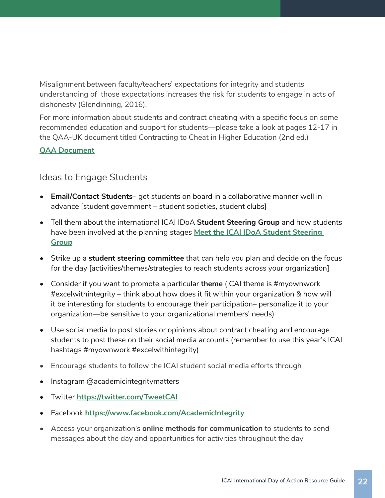Misalignment between faculty/teachers' expectations for integrity and students understanding of those expectations increases the risk for students to engage in acts of dishonesty (Glendinning, 2016).

For more information about students and contract cheating with a specific focus on some recommended education and support for students—please take a look at pages 12-17 in the QAA-UK document titled Contracting to Cheat in Higher Education (2nd ed.)

### **QAA Document**

### Ideas to Engage Students

- **Email/Contact Students** get students on board in a collaborative manner well in advance [student government – student societies, student clubs]
- Tell them about the international ICAI IDoA **Student Steering Group** and how students have been involved at the planning stages **Meet the ICAI IDoA Student Steering Group**
- Strike up a **student steering committee** that can help you plan and decide on the focus for the day [activities/themes/strategies to reach students across your organization]
- Consider if you want to promote a particular **theme** (ICAI theme is #myownwork  $\#$ excelwithintegrity – think about how does it fit within your organization & how will it be interesting for students to encourage their participation– personalize it to your organization—be sensitive to your organizational members' needs)
- Use social media to post stories or opinions about contract cheating and encourage students to post these on their social media accounts (remember to use this year's ICAI hashtags #myownwork #excelwithintegrity)
- Encourage students to follow the ICAI student social media efforts through
- Instagram @academicintegritymatters
- Twitter **https://twitter.com/TweetCAI**
- Facebook **https://www.facebook.com/AcademicIntegrity**
- Access your organization's **online methods for communication** to students to send messages about the day and opportunities for activities throughout the day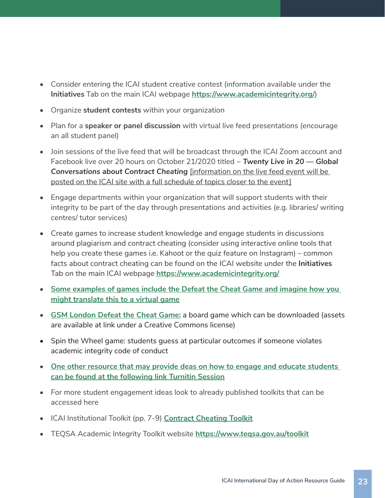- Consider entering the ICAI student creative contest (information available under the **Initiatives** Tab on the main ICAI webpage **https://www.academicintegrity.org/**)
- Organize **student contests** within your organization
- Plan for a **speaker or panel discussion** with virtual live feed presentations (encourage an all student panel)
- Join sessions of the live feed that will be broadcast through the ICAI Zoom account and Facebook live over 20 hours on October 21/2020 titled ~ *Twenty Live in 20 — Global Conversations about Contract Cheating* [information on the live feed event will be posted on the ICAI site with a full schedule of topics closer to the event]
- Engage departments within your organization that will support students with their integrity to be part of the day through presentations and activities (e.g. libraries/ writing centres/ tutor services)
- Create games to increase student knowledge and engage students in discussions around plagiarism and contract cheating (consider using interactive online tools that help you create these games i.e. Kahoot or the quiz feature on Instagram) – common facts about contract cheating can be found on the ICAI website under the **Initiatives** Tab on the main ICAI webpage **https://www.academicintegrity.org/**
- **• Some examples of games include the Defeat the Cheat Game and imagine how you might translate this to a virtual game**
- **• GSM London Defeat the Cheat Game:** a board game which can be downloaded (assets are available at link under a Creative Commons license)
- Spin the Wheel game: students guess at particular outcomes if someone violates academic integrity code of conduct
- **• One other resource that may provide deas on how to engage and educate students can be found at the following link Turnitin Session**
- For more student engagement ideas look to already published toolkits that can be accessed here
- ICAI Institutional Toolkit (pp. 7-9) **Contract Cheating Toolkit**
- TEQSA Academic Integrity Toolkit website **https://www.teqsa.gov.au/toolkit**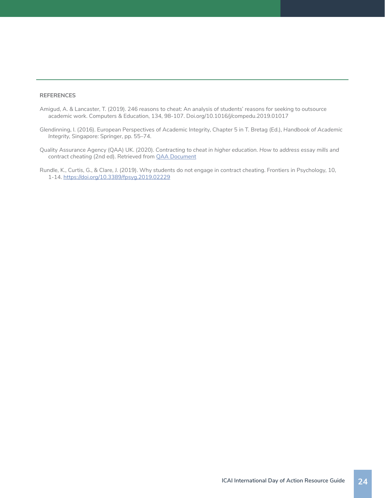#### **REFERENCES**

- Amigud, A. & Lancaster, T. (2019). 246 reasons to cheat: An analysis of students' reasons for seeking to outsource academic work. Computers & Education, 134, 98-107. Doi.org/10.1016/j/compedu.2019.01017
- Glendinning, I. (2016). European Perspectives of Academic Integrity, Chapter 5 in T. Bretag (Ed.), *Handbook of Academic Integrity,* Singapore: Springer, pp. 55–74.
- Quality Assurance Agency (QAA) UK. (2020). *Contracting to cheat in higher education. How to address essay mills and contract cheating* (2nd ed). Retrieved from QAA Document
- Rundle, K., Curtis, G., & Clare, J. (2019). Why students do not engage in contract cheating. Frontiers in Psychology, 10, 1-14. https://doi.org/10.3389/fpsyg.2019.02229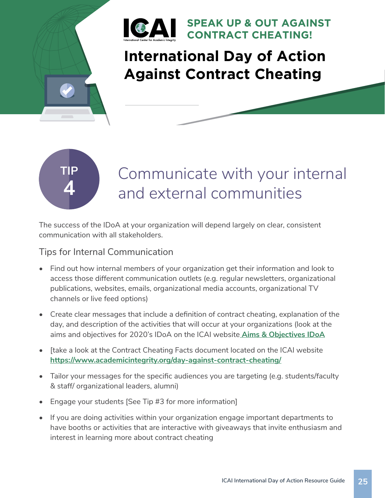

## **International Day of Action Against Contract Cheating**



## Communicate with your internal and external communities

The success of the IDoA at your organization will depend largely on clear, consistent communication with all stakeholders.

### Tips for Internal Communication

- Find out how internal members of your organization get their information and look to access those different communication outlets (e.g. regular newsletters, organizational publications, websites, emails, organizational media accounts, organizational TV channels or live feed options)
- Create clear messages that include a definition of contract cheating, explanation of the day, and description of the activities that will occur at your organizations (look at the aims and objectives for 2020's IDoA on the ICAI website **Aims & Objectives IDoA**
- [take a look at the Contract Cheating Facts document located on the ICAI website **https://www.academicintegrity.org/day-against-contract-cheating/**
- Tailor your messages for the specific audiences you are targeting (e.g. students/faculty & staff/ organizational leaders, alumni)
- Engage your students [See Tip #3 for more information]
- If you are doing activities within your organization engage important departments to have booths or activities that are interactive with giveaways that invite enthusiasm and interest in learning more about contract cheating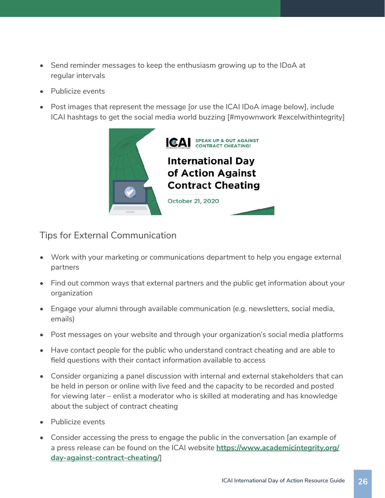- Send reminder messages to keep the enthusiasm growing up to the IDoA at regular intervals
- Publicize events
- Post images that represent the message [or use the ICAI IDoA image below], include ICAI hashtags to get the social media world buzzing [#myownwork #excelwithintegrity]



Tips for External Communication

- Work with your marketing or communications department to help you engage external partners
- Find out common ways that external partners and the public get information about your organization
- Engage your alumni through available communication (e.g. newsletters, social media, emails)
- Post messages on your website and through your organization's social media platforms
- Have contact people for the public who understand contract cheating and are able to field questions with their contact information available to access
- Consider organizing a panel discussion with internal and external stakeholders that can be held in person or online with live feed and the capacity to be recorded and posted for viewing later – enlist a moderator who is skilled at moderating and has knowledge about the subject of contract cheating
- Publicize events
- Consider accessing the press to engage the public in the conversation [an example of a press release can be found on the ICAI website **https://www.academicintegrity.org/ day-against-contract-cheating/**]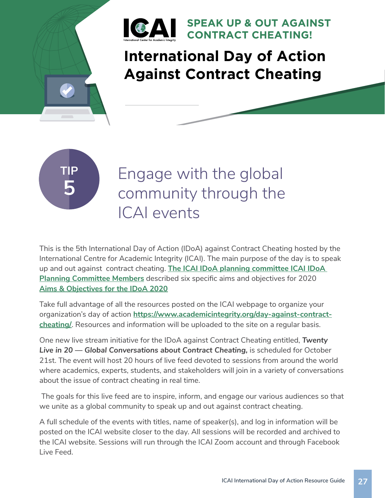

## **International Day of Action Against Contract Cheating**

**SPEAK UP & OUT AGAINST** 

**CONTRACT CHEATING!**



Engage with the global community through the ICAI events

This is the 5th International Day of Action (IDoA) against Contract Cheating hosted by the International Centre for Academic Integrity (ICAI). The main purpose of the day is to speak up and out against contract cheating. **The ICAI IDoA planning committee ICAI IDoA Planning Committee Members** described six specific aims and objectives for 2020 **Aims & Objectives for the IDoA 2020**

Take full advantage of all the resources posted on the ICAI webpage to organize your organization's day of action **https://www.academicintegrity.org/day-against-contractcheating/**. Resources and information will be uploaded to the site on a regular basis.

One new live stream initiative for the IDoA against Contract Cheating entitled, *Twenty Live in 20 — Global Conversations about Contract Cheating,* is scheduled for October 21st. The event will host 20 hours of live feed devoted to sessions from around the world where academics, experts, students, and stakeholders will join in a variety of conversations about the issue of contract cheating in real time.

 The goals for this live feed are to inspire, inform, and engage our various audiences so that we unite as a global community to speak up and out against contract cheating.

A full schedule of the events with titles, name of speaker(s), and log in information will be posted on the ICAI website closer to the day. All sessions will be recorded and archived to the ICAI website. Sessions will run through the ICAI Zoom account and through Facebook Live Feed.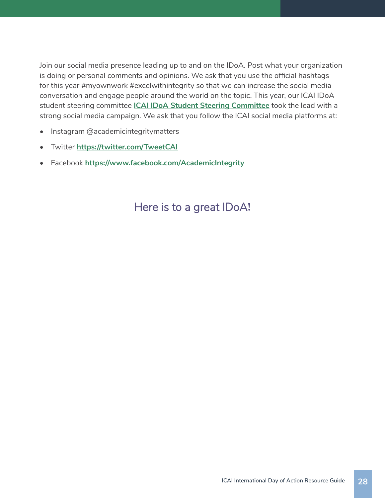Join our social media presence leading up to and on the IDoA. Post what your organization is doing or personal comments and opinions. We ask that you use the official hashtags for this year #myownwork #excelwithintegrity so that we can increase the social media conversation and engage people around the world on the topic. This year, our ICAI IDoA student steering committee **ICAI IDoA Student Steering Committee** took the lead with a strong social media campaign. We ask that you follow the ICAI social media platforms at:

- Instagram @academicintegritymatters
- Twitter **https://twitter.com/TweetCAI**
- Facebook **https://www.facebook.com/AcademicIntegrity**

### Here is to a great IDoA**!**